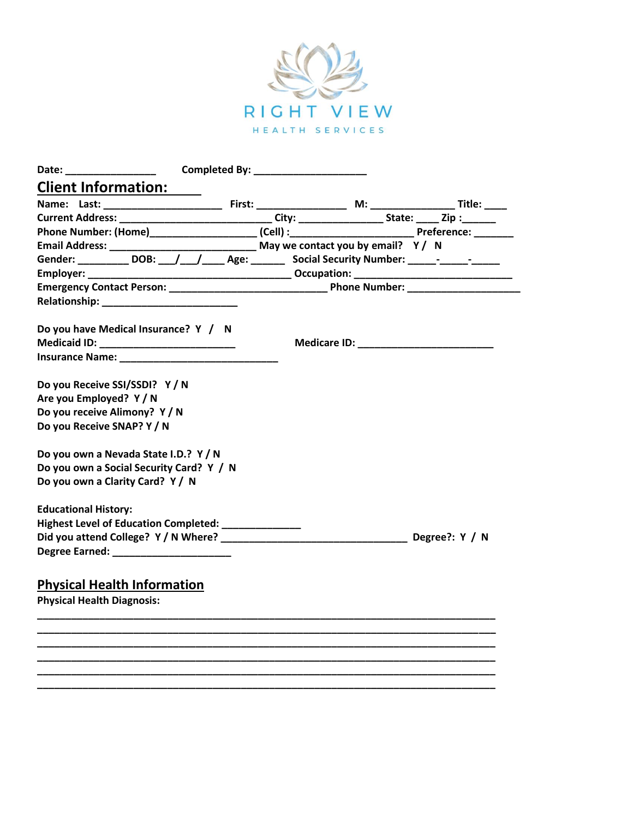

| Date: the contract of the contract of the contract of the contract of the contract of the contract of the contract of the contract of the contract of the contract of the contract of the contract of the contract of the cont |  |  |
|--------------------------------------------------------------------------------------------------------------------------------------------------------------------------------------------------------------------------------|--|--|
| <b>Client Information:</b>                                                                                                                                                                                                     |  |  |
|                                                                                                                                                                                                                                |  |  |
| Current Address: __________________________________City: _____________________State: ______ Zip :_______                                                                                                                       |  |  |
|                                                                                                                                                                                                                                |  |  |
|                                                                                                                                                                                                                                |  |  |
|                                                                                                                                                                                                                                |  |  |
|                                                                                                                                                                                                                                |  |  |
|                                                                                                                                                                                                                                |  |  |
|                                                                                                                                                                                                                                |  |  |
| Do you have Medical Insurance? Y / N                                                                                                                                                                                           |  |  |
|                                                                                                                                                                                                                                |  |  |
|                                                                                                                                                                                                                                |  |  |
|                                                                                                                                                                                                                                |  |  |
| Do you Receive SSI/SSDI? Y / N                                                                                                                                                                                                 |  |  |
| Are you Employed? Y / N                                                                                                                                                                                                        |  |  |
| Do you receive Alimony? Y / N                                                                                                                                                                                                  |  |  |
| Do you Receive SNAP? Y / N                                                                                                                                                                                                     |  |  |
| Do you own a Nevada State I.D.? Y / N                                                                                                                                                                                          |  |  |
| Do you own a Social Security Card? Y / N                                                                                                                                                                                       |  |  |
| Do you own a Clarity Card? Y / N                                                                                                                                                                                               |  |  |
| <b>Educational History:</b>                                                                                                                                                                                                    |  |  |
| Highest Level of Education Completed: ______________                                                                                                                                                                           |  |  |
| Did you attend College? Y / N Where? Degree 2: Y / N                                                                                                                                                                           |  |  |
|                                                                                                                                                                                                                                |  |  |
|                                                                                                                                                                                                                                |  |  |
| <b>Physical Health Information</b>                                                                                                                                                                                             |  |  |
| <b>Physical Health Diagnosis:</b>                                                                                                                                                                                              |  |  |
|                                                                                                                                                                                                                                |  |  |
|                                                                                                                                                                                                                                |  |  |
|                                                                                                                                                                                                                                |  |  |
|                                                                                                                                                                                                                                |  |  |

**\_\_\_\_\_\_\_\_\_\_\_\_\_\_\_\_\_\_\_\_\_\_\_\_\_\_\_\_\_\_\_\_\_\_\_\_\_\_\_\_\_\_\_\_\_\_\_\_\_\_\_\_\_\_\_\_\_\_\_\_\_\_\_\_\_\_\_\_\_\_\_\_\_\_\_\_\_\_\_\_\_ \_\_\_\_\_\_\_\_\_\_\_\_\_\_\_\_\_\_\_\_\_\_\_\_\_\_\_\_\_\_\_\_\_\_\_\_\_\_\_\_\_\_\_\_\_\_\_\_\_\_\_\_\_\_\_\_\_\_\_\_\_\_\_\_\_\_\_\_\_\_\_\_\_\_\_\_\_\_\_\_\_**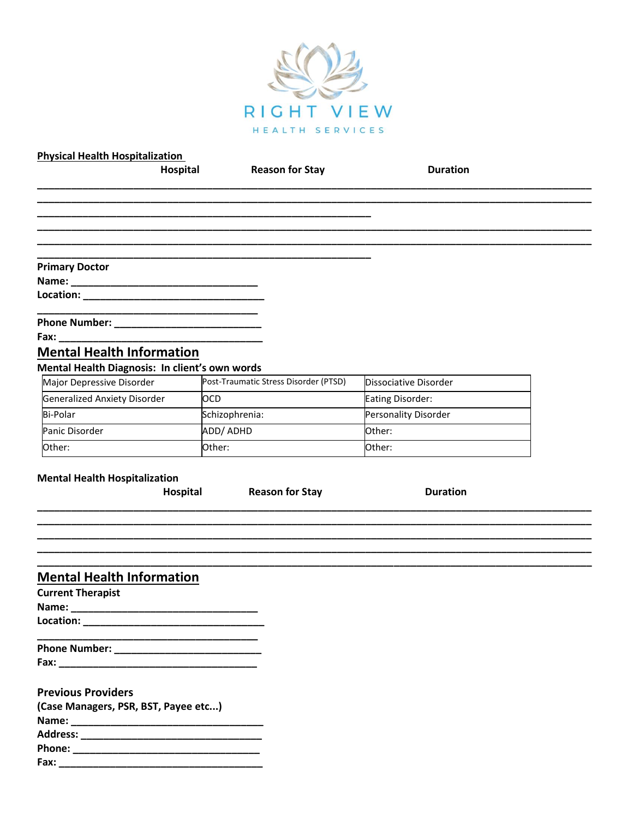

|                                                | Hospital                                                                                                              | <b>Reason for Stay</b>                | <b>Duration</b>       |  |
|------------------------------------------------|-----------------------------------------------------------------------------------------------------------------------|---------------------------------------|-----------------------|--|
|                                                |                                                                                                                       |                                       |                       |  |
|                                                |                                                                                                                       |                                       |                       |  |
|                                                |                                                                                                                       |                                       |                       |  |
| <b>Primary Doctor</b>                          |                                                                                                                       |                                       |                       |  |
|                                                |                                                                                                                       |                                       |                       |  |
|                                                |                                                                                                                       |                                       |                       |  |
|                                                |                                                                                                                       |                                       |                       |  |
|                                                |                                                                                                                       |                                       |                       |  |
| <b>Mental Health Information</b>               |                                                                                                                       |                                       |                       |  |
| Mental Health Diagnosis: In client's own words |                                                                                                                       |                                       |                       |  |
| Major Depressive Disorder                      |                                                                                                                       | Post-Traumatic Stress Disorder (PTSD) | Dissociative Disorder |  |
|                                                |                                                                                                                       |                                       |                       |  |
| Generalized Anxiety Disorder                   | <b>OCD</b>                                                                                                            |                                       | Eating Disorder:      |  |
| Bi-Polar                                       |                                                                                                                       | Schizophrenia:                        | Personality Disorder  |  |
| Panic Disorder                                 |                                                                                                                       | ADD/ADHD                              | Other:                |  |
| Other:                                         | Other:                                                                                                                |                                       | Other:                |  |
| <b>Mental Health Hospitalization</b>           | Hospital                                                                                                              | <b>Reason for Stay</b>                | <b>Duration</b>       |  |
|                                                |                                                                                                                       |                                       |                       |  |
|                                                |                                                                                                                       |                                       |                       |  |
| <b>Mental Health Information</b>               |                                                                                                                       |                                       |                       |  |
| <b>Current Therapist</b>                       |                                                                                                                       |                                       |                       |  |
|                                                |                                                                                                                       |                                       |                       |  |
|                                                |                                                                                                                       |                                       |                       |  |
|                                                | <u> 1989 - Johann John Stone, markin amerikan basar dan berkembang dan berkembang dan basar dan berkembang dan be</u> |                                       |                       |  |

| (Case Managers, PSR, BST, Payee etc)                                                                                                                                                                                           |  |
|--------------------------------------------------------------------------------------------------------------------------------------------------------------------------------------------------------------------------------|--|
| Name: Name                                                                                                                                                                                                                     |  |
| Address: Andreas and the set of the set of the set of the set of the set of the set of the set of the set of the set of the set of the set of the set of the set of the set of the set of the set of the set of the set of the |  |
| <b>Phone:</b>                                                                                                                                                                                                                  |  |
| Fax:                                                                                                                                                                                                                           |  |